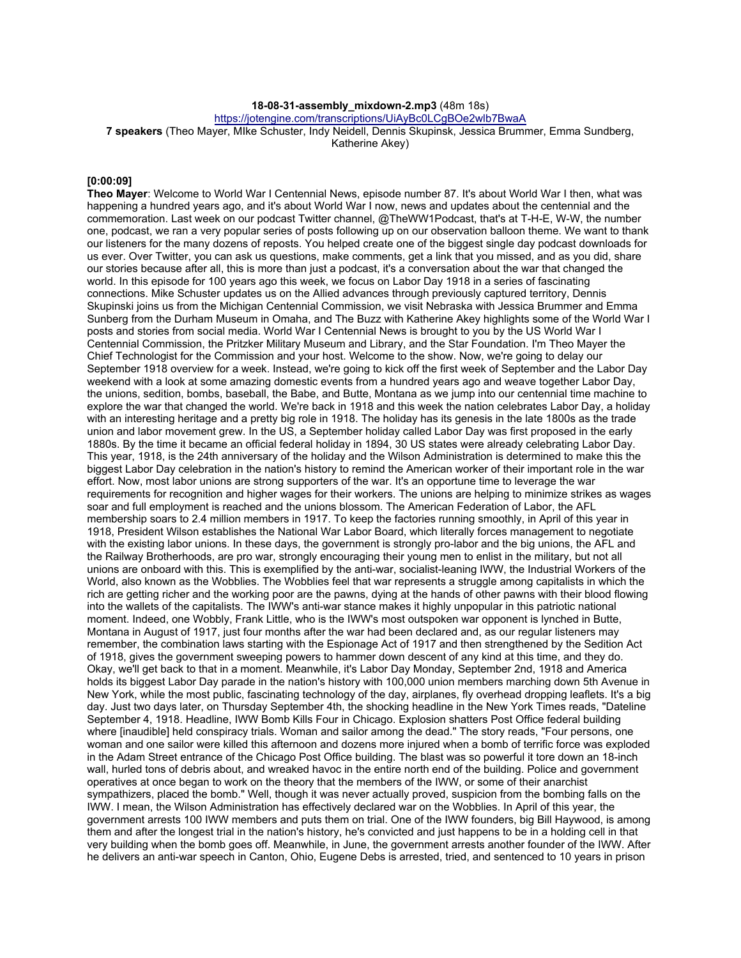### **18-08-31-assembly\_mixdown-2.mp3** (48m 18s)

https://jotengine.com/transcriptions/UiAyBc0LCgBOe2wlb7BwaA

**7 speakers** (Theo Mayer, MIke Schuster, Indy Neidell, Dennis Skupinsk, Jessica Brummer, Emma Sundberg, Katherine Akey)

### **[0:00:09]**

**Theo Mayer**: Welcome to World War I Centennial News, episode number 87. It's about World War I then, what was happening a hundred years ago, and it's about World War I now, news and updates about the centennial and the commemoration. Last week on our podcast Twitter channel, @TheWW1Podcast, that's at T-H-E, W-W, the number one, podcast, we ran a very popular series of posts following up on our observation balloon theme. We want to thank our listeners for the many dozens of reposts. You helped create one of the biggest single day podcast downloads for us ever. Over Twitter, you can ask us questions, make comments, get a link that you missed, and as you did, share our stories because after all, this is more than just a podcast, it's a conversation about the war that changed the world. In this episode for 100 years ago this week, we focus on Labor Day 1918 in a series of fascinating connections. Mike Schuster updates us on the Allied advances through previously captured territory, Dennis Skupinski joins us from the Michigan Centennial Commission, we visit Nebraska with Jessica Brummer and Emma Sunberg from the Durham Museum in Omaha, and The Buzz with Katherine Akey highlights some of the World War I posts and stories from social media. World War I Centennial News is brought to you by the US World War I Centennial Commission, the Pritzker Military Museum and Library, and the Star Foundation. I'm Theo Mayer the Chief Technologist for the Commission and your host. Welcome to the show. Now, we're going to delay our September 1918 overview for a week. Instead, we're going to kick off the first week of September and the Labor Day weekend with a look at some amazing domestic events from a hundred years ago and weave together Labor Day, the unions, sedition, bombs, baseball, the Babe, and Butte, Montana as we jump into our centennial time machine to explore the war that changed the world. We're back in 1918 and this week the nation celebrates Labor Day, a holiday with an interesting heritage and a pretty big role in 1918. The holiday has its genesis in the late 1800s as the trade union and labor movement grew. In the US, a September holiday called Labor Day was first proposed in the early 1880s. By the time it became an official federal holiday in 1894, 30 US states were already celebrating Labor Day. This year, 1918, is the 24th anniversary of the holiday and the Wilson Administration is determined to make this the biggest Labor Day celebration in the nation's history to remind the American worker of their important role in the war effort. Now, most labor unions are strong supporters of the war. It's an opportune time to leverage the war requirements for recognition and higher wages for their workers. The unions are helping to minimize strikes as wages soar and full employment is reached and the unions blossom. The American Federation of Labor, the AFL membership soars to 2.4 million members in 1917. To keep the factories running smoothly, in April of this year in 1918, President Wilson establishes the National War Labor Board, which literally forces management to negotiate with the existing labor unions. In these days, the government is strongly pro-labor and the big unions, the AFL and the Railway Brotherhoods, are pro war, strongly encouraging their young men to enlist in the military, but not all unions are onboard with this. This is exemplified by the anti-war, socialist-leaning IWW, the Industrial Workers of the World, also known as the Wobblies. The Wobblies feel that war represents a struggle among capitalists in which the rich are getting richer and the working poor are the pawns, dying at the hands of other pawns with their blood flowing into the wallets of the capitalists. The IWW's anti-war stance makes it highly unpopular in this patriotic national moment. Indeed, one Wobbly, Frank Little, who is the IWW's most outspoken war opponent is lynched in Butte, Montana in August of 1917, just four months after the war had been declared and, as our regular listeners may remember, the combination laws starting with the Espionage Act of 1917 and then strengthened by the Sedition Act of 1918, gives the government sweeping powers to hammer down descent of any kind at this time, and they do. Okay, we'll get back to that in a moment. Meanwhile, it's Labor Day Monday, September 2nd, 1918 and America holds its biggest Labor Day parade in the nation's history with 100,000 union members marching down 5th Avenue in New York, while the most public, fascinating technology of the day, airplanes, fly overhead dropping leaflets. It's a big day. Just two days later, on Thursday September 4th, the shocking headline in the New York Times reads, "Dateline September 4, 1918. Headline, IWW Bomb Kills Four in Chicago. Explosion shatters Post Office federal building where [inaudible] held conspiracy trials. Woman and sailor among the dead." The story reads, "Four persons, one woman and one sailor were killed this afternoon and dozens more injured when a bomb of terrific force was exploded in the Adam Street entrance of the Chicago Post Office building. The blast was so powerful it tore down an 18-inch wall, hurled tons of debris about, and wreaked havoc in the entire north end of the building. Police and government operatives at once began to work on the theory that the members of the IWW, or some of their anarchist sympathizers, placed the bomb." Well, though it was never actually proved, suspicion from the bombing falls on the IWW. I mean, the Wilson Administration has effectively declared war on the Wobblies. In April of this year, the government arrests 100 IWW members and puts them on trial. One of the IWW founders, big Bill Haywood, is among them and after the longest trial in the nation's history, he's convicted and just happens to be in a holding cell in that very building when the bomb goes off. Meanwhile, in June, the government arrests another founder of the IWW. After he delivers an anti-war speech in Canton, Ohio, Eugene Debs is arrested, tried, and sentenced to 10 years in prison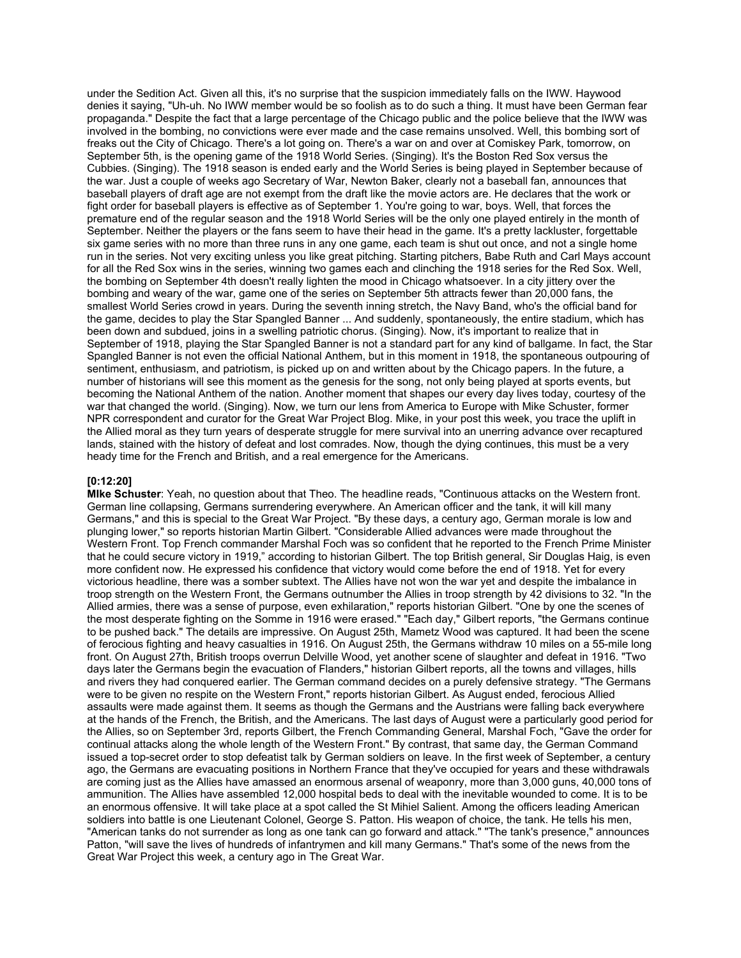under the Sedition Act. Given all this, it's no surprise that the suspicion immediately falls on the IWW. Haywood denies it saying, "Uh-uh. No IWW member would be so foolish as to do such a thing. It must have been German fear propaganda." Despite the fact that a large percentage of the Chicago public and the police believe that the IWW was involved in the bombing, no convictions were ever made and the case remains unsolved. Well, this bombing sort of freaks out the City of Chicago. There's a lot going on. There's a war on and over at Comiskey Park, tomorrow, on September 5th, is the opening game of the 1918 World Series. (Singing). It's the Boston Red Sox versus the Cubbies. (Singing). The 1918 season is ended early and the World Series is being played in September because of the war. Just a couple of weeks ago Secretary of War, Newton Baker, clearly not a baseball fan, announces that baseball players of draft age are not exempt from the draft like the movie actors are. He declares that the work or fight order for baseball players is effective as of September 1. You're going to war, boys. Well, that forces the premature end of the regular season and the 1918 World Series will be the only one played entirely in the month of September. Neither the players or the fans seem to have their head in the game. It's a pretty lackluster, forgettable six game series with no more than three runs in any one game, each team is shut out once, and not a single home run in the series. Not very exciting unless you like great pitching. Starting pitchers, Babe Ruth and Carl Mays account for all the Red Sox wins in the series, winning two games each and clinching the 1918 series for the Red Sox. Well, the bombing on September 4th doesn't really lighten the mood in Chicago whatsoever. In a city jittery over the bombing and weary of the war, game one of the series on September 5th attracts fewer than 20,000 fans, the smallest World Series crowd in years. During the seventh inning stretch, the Navy Band, who's the official band for the game, decides to play the Star Spangled Banner ... And suddenly, spontaneously, the entire stadium, which has been down and subdued, joins in a swelling patriotic chorus. (Singing). Now, it's important to realize that in September of 1918, playing the Star Spangled Banner is not a standard part for any kind of ballgame. In fact, the Star Spangled Banner is not even the official National Anthem, but in this moment in 1918, the spontaneous outpouring of sentiment, enthusiasm, and patriotism, is picked up on and written about by the Chicago papers. In the future, a number of historians will see this moment as the genesis for the song, not only being played at sports events, but becoming the National Anthem of the nation. Another moment that shapes our every day lives today, courtesy of the war that changed the world. (Singing). Now, we turn our lens from America to Europe with Mike Schuster, former NPR correspondent and curator for the Great War Project Blog. Mike, in your post this week, you trace the uplift in the Allied moral as they turn years of desperate struggle for mere survival into an unerring advance over recaptured lands, stained with the history of defeat and lost comrades. Now, though the dying continues, this must be a very heady time for the French and British, and a real emergence for the Americans.

### **[0:12:20]**

**MIke Schuster**: Yeah, no question about that Theo. The headline reads, "Continuous attacks on the Western front. German line collapsing, Germans surrendering everywhere. An American officer and the tank, it will kill many Germans," and this is special to the Great War Project. "By these days, a century ago, German morale is low and plunging lower," so reports historian Martin Gilbert. "Considerable Allied advances were made throughout the Western Front. Top French commander Marshal Foch was so confident that he reported to the French Prime Minister that he could secure victory in 1919," according to historian Gilbert. The top British general, Sir Douglas Haig, is even more confident now. He expressed his confidence that victory would come before the end of 1918. Yet for every victorious headline, there was a somber subtext. The Allies have not won the war yet and despite the imbalance in troop strength on the Western Front, the Germans outnumber the Allies in troop strength by 42 divisions to 32. "In the Allied armies, there was a sense of purpose, even exhilaration," reports historian Gilbert. "One by one the scenes of the most desperate fighting on the Somme in 1916 were erased." "Each day," Gilbert reports, "the Germans continue to be pushed back." The details are impressive. On August 25th, Mametz Wood was captured. It had been the scene of ferocious fighting and heavy casualties in 1916. On August 25th, the Germans withdraw 10 miles on a 55-mile long front. On August 27th, British troops overrun Delville Wood, yet another scene of slaughter and defeat in 1916. "Two days later the Germans begin the evacuation of Flanders," historian Gilbert reports, all the towns and villages, hills and rivers they had conquered earlier. The German command decides on a purely defensive strategy. "The Germans were to be given no respite on the Western Front," reports historian Gilbert. As August ended, ferocious Allied assaults were made against them. It seems as though the Germans and the Austrians were falling back everywhere at the hands of the French, the British, and the Americans. The last days of August were a particularly good period for the Allies, so on September 3rd, reports Gilbert, the French Commanding General, Marshal Foch, "Gave the order for continual attacks along the whole length of the Western Front." By contrast, that same day, the German Command issued a top-secret order to stop defeatist talk by German soldiers on leave. In the first week of September, a century ago, the Germans are evacuating positions in Northern France that they've occupied for years and these withdrawals are coming just as the Allies have amassed an enormous arsenal of weaponry, more than 3,000 guns, 40,000 tons of ammunition. The Allies have assembled 12,000 hospital beds to deal with the inevitable wounded to come. It is to be an enormous offensive. It will take place at a spot called the St Mihiel Salient. Among the officers leading American soldiers into battle is one Lieutenant Colonel, George S. Patton. His weapon of choice, the tank. He tells his men, "American tanks do not surrender as long as one tank can go forward and attack." "The tank's presence," announces Patton, "will save the lives of hundreds of infantrymen and kill many Germans." That's some of the news from the Great War Project this week, a century ago in The Great War.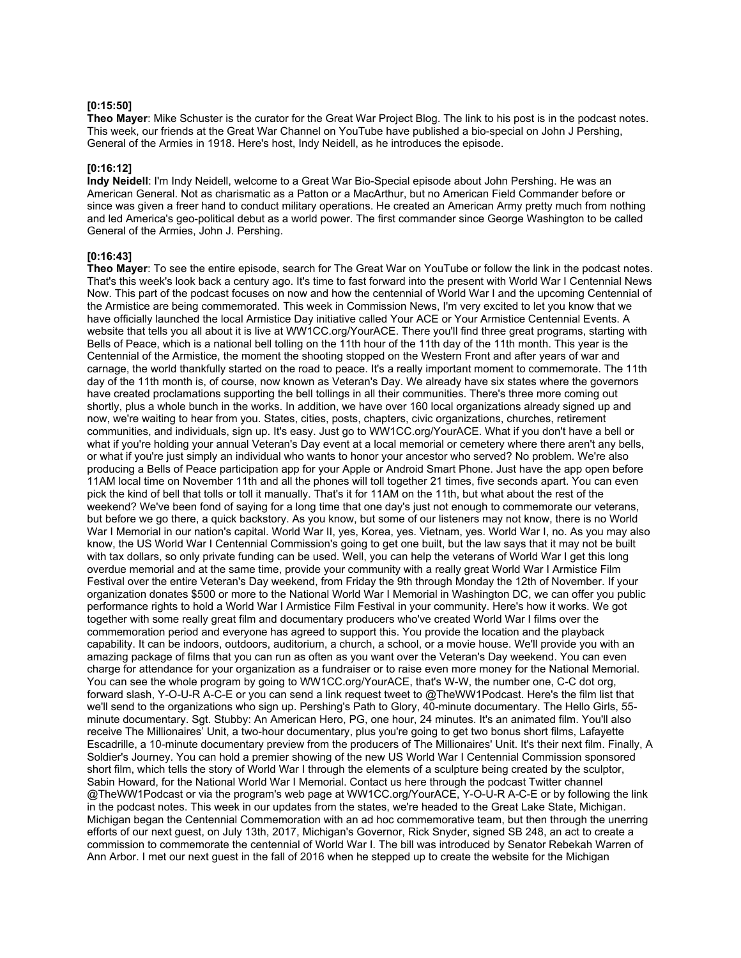### **[0:15:50]**

**Theo Mayer**: Mike Schuster is the curator for the Great War Project Blog. The link to his post is in the podcast notes. This week, our friends at the Great War Channel on YouTube have published a bio-special on John J Pershing, General of the Armies in 1918. Here's host, Indy Neidell, as he introduces the episode.

### **[0:16:12]**

**Indy Neidell**: I'm Indy Neidell, welcome to a Great War Bio-Special episode about John Pershing. He was an American General. Not as charismatic as a Patton or a MacArthur, but no American Field Commander before or since was given a freer hand to conduct military operations. He created an American Army pretty much from nothing and led America's geo-political debut as a world power. The first commander since George Washington to be called General of the Armies, John J. Pershing.

# **[0:16:43]**

**Theo Mayer**: To see the entire episode, search for The Great War on YouTube or follow the link in the podcast notes. That's this week's look back a century ago. It's time to fast forward into the present with World War I Centennial News Now. This part of the podcast focuses on now and how the centennial of World War I and the upcoming Centennial of the Armistice are being commemorated. This week in Commission News, I'm very excited to let you know that we have officially launched the local Armistice Day initiative called Your ACE or Your Armistice Centennial Events. A website that tells you all about it is live at WW1CC.org/YourACE. There you'll find three great programs, starting with Bells of Peace, which is a national bell tolling on the 11th hour of the 11th day of the 11th month. This year is the Centennial of the Armistice, the moment the shooting stopped on the Western Front and after years of war and carnage, the world thankfully started on the road to peace. It's a really important moment to commemorate. The 11th day of the 11th month is, of course, now known as Veteran's Day. We already have six states where the governors have created proclamations supporting the bell tollings in all their communities. There's three more coming out shortly, plus a whole bunch in the works. In addition, we have over 160 local organizations already signed up and now, we're waiting to hear from you. States, cities, posts, chapters, civic organizations, churches, retirement communities, and individuals, sign up. It's easy. Just go to WW1CC.org/YourACE. What if you don't have a bell or what if you're holding your annual Veteran's Day event at a local memorial or cemetery where there aren't any bells, or what if you're just simply an individual who wants to honor your ancestor who served? No problem. We're also producing a Bells of Peace participation app for your Apple or Android Smart Phone. Just have the app open before 11AM local time on November 11th and all the phones will toll together 21 times, five seconds apart. You can even pick the kind of bell that tolls or toll it manually. That's it for 11AM on the 11th, but what about the rest of the weekend? We've been fond of saying for a long time that one day's just not enough to commemorate our veterans, but before we go there, a quick backstory. As you know, but some of our listeners may not know, there is no World War I Memorial in our nation's capital. World War II, yes, Korea, yes. Vietnam, yes. World War I, no. As you may also know, the US World War I Centennial Commission's going to get one built, but the law says that it may not be built with tax dollars, so only private funding can be used. Well, you can help the veterans of World War I get this long overdue memorial and at the same time, provide your community with a really great World War I Armistice Film Festival over the entire Veteran's Day weekend, from Friday the 9th through Monday the 12th of November. If your organization donates \$500 or more to the National World War I Memorial in Washington DC, we can offer you public performance rights to hold a World War I Armistice Film Festival in your community. Here's how it works. We got together with some really great film and documentary producers who've created World War I films over the commemoration period and everyone has agreed to support this. You provide the location and the playback capability. It can be indoors, outdoors, auditorium, a church, a school, or a movie house. We'll provide you with an amazing package of films that you can run as often as you want over the Veteran's Day weekend. You can even charge for attendance for your organization as a fundraiser or to raise even more money for the National Memorial. You can see the whole program by going to WW1CC.org/YourACE, that's W-W, the number one, C-C dot org, forward slash, Y-O-U-R A-C-E or you can send a link request tweet to @TheWW1Podcast. Here's the film list that we'll send to the organizations who sign up. Pershing's Path to Glory, 40-minute documentary. The Hello Girls, 55 minute documentary. Sgt. Stubby: An American Hero, PG, one hour, 24 minutes. It's an animated film. You'll also receive The Millionaires' Unit, a two-hour documentary, plus you're going to get two bonus short films, Lafayette Escadrille, a 10-minute documentary preview from the producers of The Millionaires' Unit. It's their next film. Finally, A Soldier's Journey. You can hold a premier showing of the new US World War I Centennial Commission sponsored short film, which tells the story of World War I through the elements of a sculpture being created by the sculptor, Sabin Howard, for the National World War I Memorial. Contact us here through the podcast Twitter channel @TheWW1Podcast or via the program's web page at WW1CC.org/YourACE, Y-O-U-R A-C-E or by following the link in the podcast notes. This week in our updates from the states, we're headed to the Great Lake State, Michigan. Michigan began the Centennial Commemoration with an ad hoc commemorative team, but then through the unerring efforts of our next guest, on July 13th, 2017, Michigan's Governor, Rick Snyder, signed SB 248, an act to create a commission to commemorate the centennial of World War I. The bill was introduced by Senator Rebekah Warren of Ann Arbor. I met our next guest in the fall of 2016 when he stepped up to create the website for the Michigan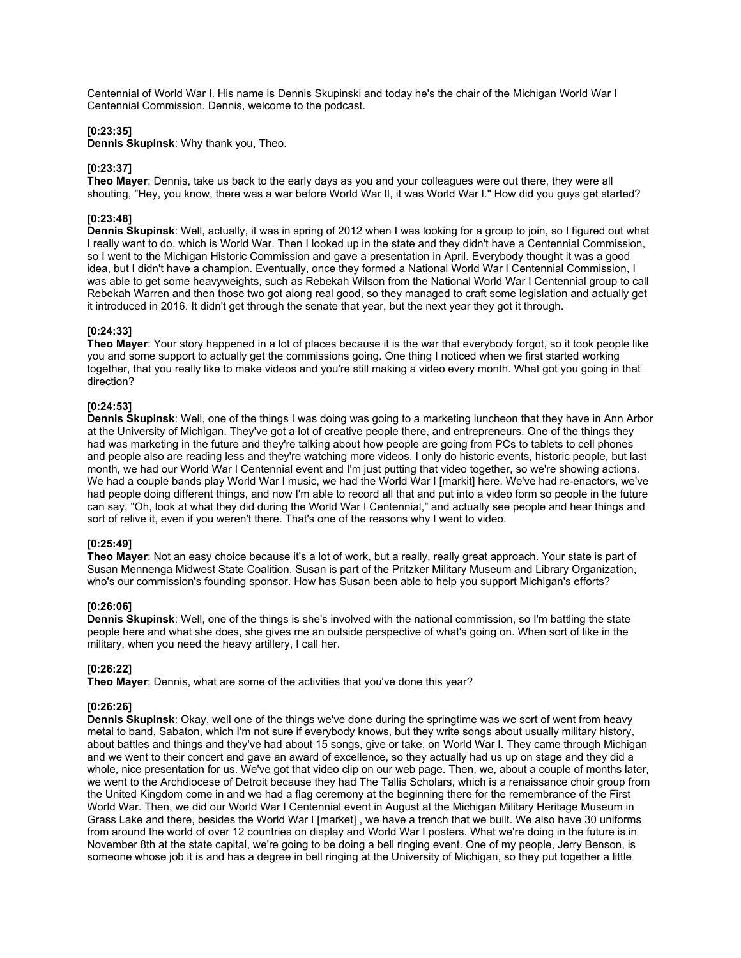Centennial of World War I. His name is Dennis Skupinski and today he's the chair of the Michigan World War I Centennial Commission. Dennis, welcome to the podcast.

### **[0:23:35]**

**Dennis Skupinsk**: Why thank you, Theo.

## **[0:23:37]**

**Theo Mayer**: Dennis, take us back to the early days as you and your colleagues were out there, they were all shouting, "Hey, you know, there was a war before World War II, it was World War I." How did you guys get started?

# **[0:23:48]**

**Dennis Skupinsk**: Well, actually, it was in spring of 2012 when I was looking for a group to join, so I figured out what I really want to do, which is World War. Then I looked up in the state and they didn't have a Centennial Commission, so I went to the Michigan Historic Commission and gave a presentation in April. Everybody thought it was a good idea, but I didn't have a champion. Eventually, once they formed a National World War I Centennial Commission, I was able to get some heavyweights, such as Rebekah Wilson from the National World War I Centennial group to call Rebekah Warren and then those two got along real good, so they managed to craft some legislation and actually get it introduced in 2016. It didn't get through the senate that year, but the next year they got it through.

## **[0:24:33]**

**Theo Mayer**: Your story happened in a lot of places because it is the war that everybody forgot, so it took people like you and some support to actually get the commissions going. One thing I noticed when we first started working together, that you really like to make videos and you're still making a video every month. What got you going in that direction?

## **[0:24:53]**

**Dennis Skupinsk**: Well, one of the things I was doing was going to a marketing luncheon that they have in Ann Arbor at the University of Michigan. They've got a lot of creative people there, and entrepreneurs. One of the things they had was marketing in the future and they're talking about how people are going from PCs to tablets to cell phones and people also are reading less and they're watching more videos. I only do historic events, historic people, but last month, we had our World War I Centennial event and I'm just putting that video together, so we're showing actions. We had a couple bands play World War I music, we had the World War I [markit] here. We've had re-enactors, we've had people doing different things, and now I'm able to record all that and put into a video form so people in the future can say, "Oh, look at what they did during the World War I Centennial," and actually see people and hear things and sort of relive it, even if you weren't there. That's one of the reasons why I went to video.

# **[0:25:49]**

**Theo Mayer**: Not an easy choice because it's a lot of work, but a really, really great approach. Your state is part of Susan Mennenga Midwest State Coalition. Susan is part of the Pritzker Military Museum and Library Organization, who's our commission's founding sponsor. How has Susan been able to help you support Michigan's efforts?

### **[0:26:06]**

**Dennis Skupinsk**: Well, one of the things is she's involved with the national commission, so I'm battling the state people here and what she does, she gives me an outside perspective of what's going on. When sort of like in the military, when you need the heavy artillery, I call her.

# **[0:26:22]**

**Theo Mayer**: Dennis, what are some of the activities that you've done this year?

### **[0:26:26]**

**Dennis Skupinsk**: Okay, well one of the things we've done during the springtime was we sort of went from heavy metal to band, Sabaton, which I'm not sure if everybody knows, but they write songs about usually military history, about battles and things and they've had about 15 songs, give or take, on World War I. They came through Michigan and we went to their concert and gave an award of excellence, so they actually had us up on stage and they did a whole, nice presentation for us. We've got that video clip on our web page. Then, we, about a couple of months later, we went to the Archdiocese of Detroit because they had The Tallis Scholars, which is a renaissance choir group from the United Kingdom come in and we had a flag ceremony at the beginning there for the remembrance of the First World War. Then, we did our World War I Centennial event in August at the Michigan Military Heritage Museum in Grass Lake and there, besides the World War I [market] , we have a trench that we built. We also have 30 uniforms from around the world of over 12 countries on display and World War I posters. What we're doing in the future is in November 8th at the state capital, we're going to be doing a bell ringing event. One of my people, Jerry Benson, is someone whose job it is and has a degree in bell ringing at the University of Michigan, so they put together a little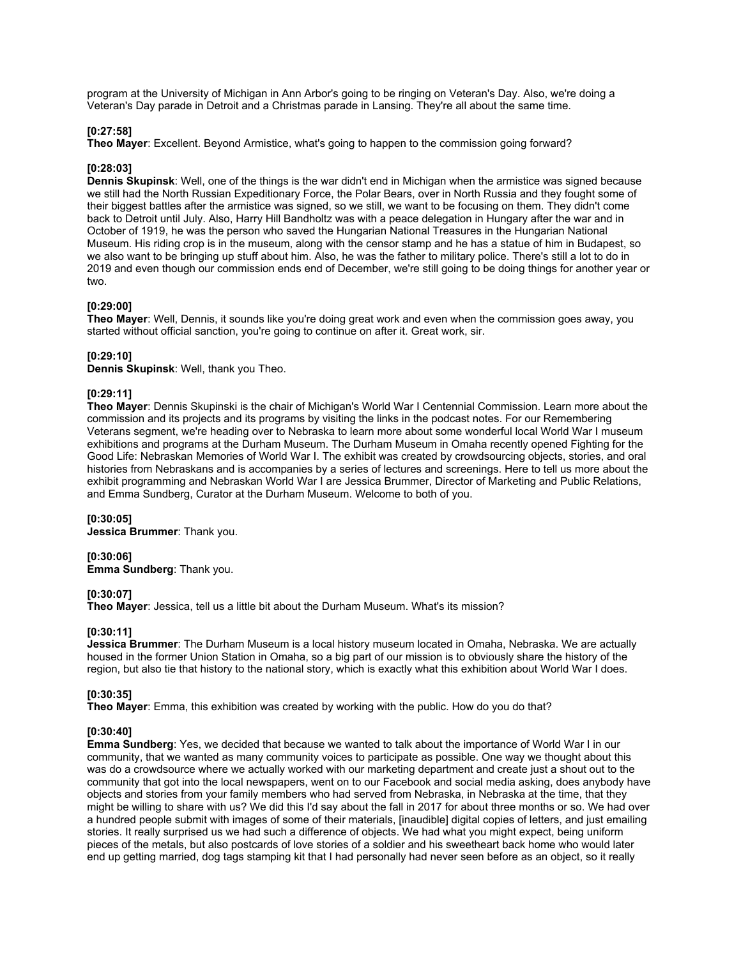program at the University of Michigan in Ann Arbor's going to be ringing on Veteran's Day. Also, we're doing a Veteran's Day parade in Detroit and a Christmas parade in Lansing. They're all about the same time.

### **[0:27:58]**

**Theo Mayer**: Excellent. Beyond Armistice, what's going to happen to the commission going forward?

### **[0:28:03]**

**Dennis Skupinsk**: Well, one of the things is the war didn't end in Michigan when the armistice was signed because we still had the North Russian Expeditionary Force, the Polar Bears, over in North Russia and they fought some of their biggest battles after the armistice was signed, so we still, we want to be focusing on them. They didn't come back to Detroit until July. Also, Harry Hill Bandholtz was with a peace delegation in Hungary after the war and in October of 1919, he was the person who saved the Hungarian National Treasures in the Hungarian National Museum. His riding crop is in the museum, along with the censor stamp and he has a statue of him in Budapest, so we also want to be bringing up stuff about him. Also, he was the father to military police. There's still a lot to do in 2019 and even though our commission ends end of December, we're still going to be doing things for another year or two.

### **[0:29:00]**

**Theo Mayer**: Well, Dennis, it sounds like you're doing great work and even when the commission goes away, you started without official sanction, you're going to continue on after it. Great work, sir.

### **[0:29:10]**

**Dennis Skupinsk**: Well, thank you Theo.

# **[0:29:11]**

**Theo Mayer**: Dennis Skupinski is the chair of Michigan's World War I Centennial Commission. Learn more about the commission and its projects and its programs by visiting the links in the podcast notes. For our Remembering Veterans segment, we're heading over to Nebraska to learn more about some wonderful local World War I museum exhibitions and programs at the Durham Museum. The Durham Museum in Omaha recently opened Fighting for the Good Life: Nebraskan Memories of World War I. The exhibit was created by crowdsourcing objects, stories, and oral histories from Nebraskans and is accompanies by a series of lectures and screenings. Here to tell us more about the exhibit programming and Nebraskan World War I are Jessica Brummer, Director of Marketing and Public Relations, and Emma Sundberg, Curator at the Durham Museum. Welcome to both of you.

### **[0:30:05]**

**Jessica Brummer**: Thank you.

**[0:30:06] Emma Sundberg**: Thank you.

### **[0:30:07]**

**Theo Mayer**: Jessica, tell us a little bit about the Durham Museum. What's its mission?

### **[0:30:11]**

**Jessica Brummer**: The Durham Museum is a local history museum located in Omaha, Nebraska. We are actually housed in the former Union Station in Omaha, so a big part of our mission is to obviously share the history of the region, but also tie that history to the national story, which is exactly what this exhibition about World War I does.

# **[0:30:35]**

**Theo Mayer**: Emma, this exhibition was created by working with the public. How do you do that?

### **[0:30:40]**

**Emma Sundberg**: Yes, we decided that because we wanted to talk about the importance of World War I in our community, that we wanted as many community voices to participate as possible. One way we thought about this was do a crowdsource where we actually worked with our marketing department and create just a shout out to the community that got into the local newspapers, went on to our Facebook and social media asking, does anybody have objects and stories from your family members who had served from Nebraska, in Nebraska at the time, that they might be willing to share with us? We did this I'd say about the fall in 2017 for about three months or so. We had over a hundred people submit with images of some of their materials, [inaudible] digital copies of letters, and just emailing stories. It really surprised us we had such a difference of objects. We had what you might expect, being uniform pieces of the metals, but also postcards of love stories of a soldier and his sweetheart back home who would later end up getting married, dog tags stamping kit that I had personally had never seen before as an object, so it really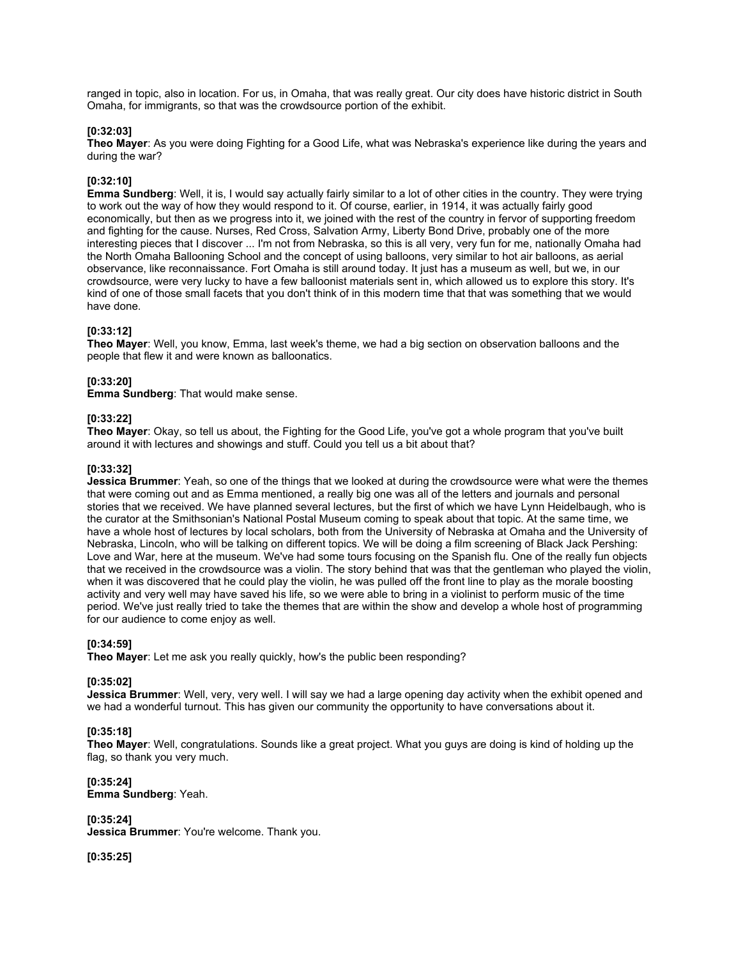ranged in topic, also in location. For us, in Omaha, that was really great. Our city does have historic district in South Omaha, for immigrants, so that was the crowdsource portion of the exhibit.

### **[0:32:03]**

**Theo Mayer**: As you were doing Fighting for a Good Life, what was Nebraska's experience like during the years and during the war?

### **[0:32:10]**

**Emma Sundberg**: Well, it is, I would say actually fairly similar to a lot of other cities in the country. They were trying to work out the way of how they would respond to it. Of course, earlier, in 1914, it was actually fairly good economically, but then as we progress into it, we joined with the rest of the country in fervor of supporting freedom and fighting for the cause. Nurses, Red Cross, Salvation Army, Liberty Bond Drive, probably one of the more interesting pieces that I discover ... I'm not from Nebraska, so this is all very, very fun for me, nationally Omaha had the North Omaha Ballooning School and the concept of using balloons, very similar to hot air balloons, as aerial observance, like reconnaissance. Fort Omaha is still around today. It just has a museum as well, but we, in our crowdsource, were very lucky to have a few balloonist materials sent in, which allowed us to explore this story. It's kind of one of those small facets that you don't think of in this modern time that that was something that we would have done.

## **[0:33:12]**

**Theo Mayer**: Well, you know, Emma, last week's theme, we had a big section on observation balloons and the people that flew it and were known as balloonatics.

# **[0:33:20]**

**Emma Sundberg**: That would make sense.

### **[0:33:22]**

**Theo Mayer**: Okay, so tell us about, the Fighting for the Good Life, you've got a whole program that you've built around it with lectures and showings and stuff. Could you tell us a bit about that?

### **[0:33:32]**

**Jessica Brummer**: Yeah, so one of the things that we looked at during the crowdsource were what were the themes that were coming out and as Emma mentioned, a really big one was all of the letters and journals and personal stories that we received. We have planned several lectures, but the first of which we have Lynn Heidelbaugh, who is the curator at the Smithsonian's National Postal Museum coming to speak about that topic. At the same time, we have a whole host of lectures by local scholars, both from the University of Nebraska at Omaha and the University of Nebraska, Lincoln, who will be talking on different topics. We will be doing a film screening of Black Jack Pershing: Love and War, here at the museum. We've had some tours focusing on the Spanish flu. One of the really fun objects that we received in the crowdsource was a violin. The story behind that was that the gentleman who played the violin, when it was discovered that he could play the violin, he was pulled off the front line to play as the morale boosting activity and very well may have saved his life, so we were able to bring in a violinist to perform music of the time period. We've just really tried to take the themes that are within the show and develop a whole host of programming for our audience to come enjoy as well.

### **[0:34:59]**

**Theo Mayer**: Let me ask you really quickly, how's the public been responding?

### **[0:35:02]**

**Jessica Brummer**: Well, very, very well. I will say we had a large opening day activity when the exhibit opened and we had a wonderful turnout. This has given our community the opportunity to have conversations about it.

# **[0:35:18]**

**Theo Mayer**: Well, congratulations. Sounds like a great project. What you guys are doing is kind of holding up the flag, so thank you very much.

**[0:35:24] Emma Sundberg**: Yeah.

**[0:35:24]**

**Jessica Brummer**: You're welcome. Thank you.

**[0:35:25]**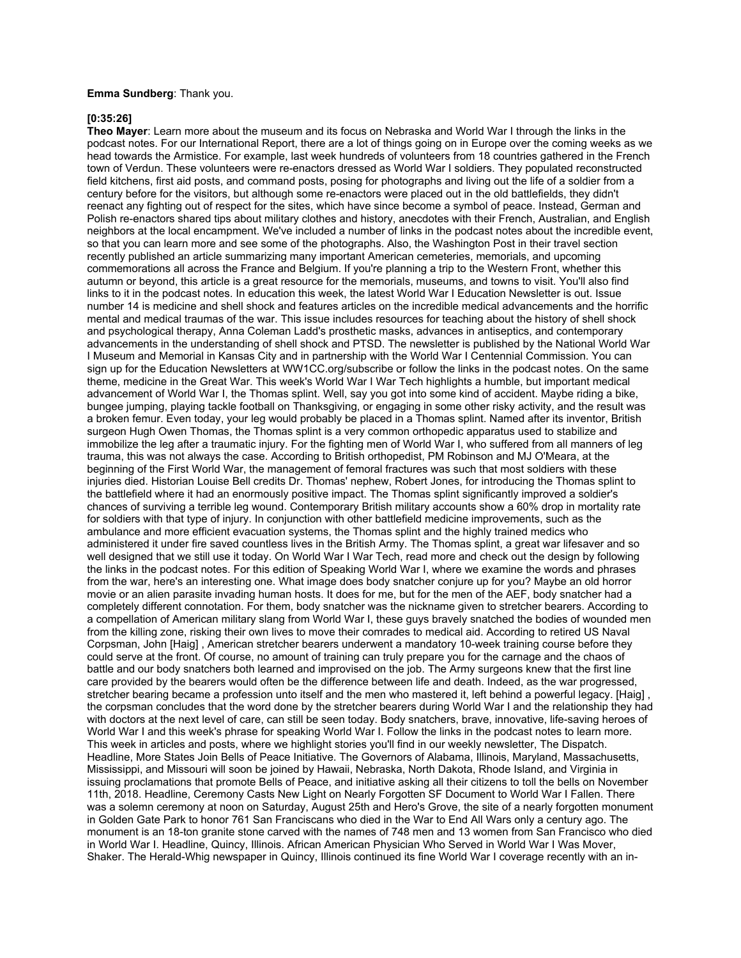### **Emma Sundberg**: Thank you.

### **[0:35:26]**

**Theo Mayer**: Learn more about the museum and its focus on Nebraska and World War I through the links in the podcast notes. For our International Report, there are a lot of things going on in Europe over the coming weeks as we head towards the Armistice. For example, last week hundreds of volunteers from 18 countries gathered in the French town of Verdun. These volunteers were re-enactors dressed as World War I soldiers. They populated reconstructed field kitchens, first aid posts, and command posts, posing for photographs and living out the life of a soldier from a century before for the visitors, but although some re-enactors were placed out in the old battlefields, they didn't reenact any fighting out of respect for the sites, which have since become a symbol of peace. Instead, German and Polish re-enactors shared tips about military clothes and history, anecdotes with their French, Australian, and English neighbors at the local encampment. We've included a number of links in the podcast notes about the incredible event, so that you can learn more and see some of the photographs. Also, the Washington Post in their travel section recently published an article summarizing many important American cemeteries, memorials, and upcoming commemorations all across the France and Belgium. If you're planning a trip to the Western Front, whether this autumn or beyond, this article is a great resource for the memorials, museums, and towns to visit. You'll also find links to it in the podcast notes. In education this week, the latest World War I Education Newsletter is out. Issue number 14 is medicine and shell shock and features articles on the incredible medical advancements and the horrific mental and medical traumas of the war. This issue includes resources for teaching about the history of shell shock and psychological therapy, Anna Coleman Ladd's prosthetic masks, advances in antiseptics, and contemporary advancements in the understanding of shell shock and PTSD. The newsletter is published by the National World War I Museum and Memorial in Kansas City and in partnership with the World War I Centennial Commission. You can sign up for the Education Newsletters at WW1CC.org/subscribe or follow the links in the podcast notes. On the same theme, medicine in the Great War. This week's World War I War Tech highlights a humble, but important medical advancement of World War I, the Thomas splint. Well, say you got into some kind of accident. Maybe riding a bike, bungee jumping, playing tackle football on Thanksgiving, or engaging in some other risky activity, and the result was a broken femur. Even today, your leg would probably be placed in a Thomas splint. Named after its inventor, British surgeon Hugh Owen Thomas, the Thomas splint is a very common orthopedic apparatus used to stabilize and immobilize the leg after a traumatic injury. For the fighting men of World War I, who suffered from all manners of leg trauma, this was not always the case. According to British orthopedist, PM Robinson and MJ O'Meara, at the beginning of the First World War, the management of femoral fractures was such that most soldiers with these injuries died. Historian Louise Bell credits Dr. Thomas' nephew, Robert Jones, for introducing the Thomas splint to the battlefield where it had an enormously positive impact. The Thomas splint significantly improved a soldier's chances of surviving a terrible leg wound. Contemporary British military accounts show a 60% drop in mortality rate for soldiers with that type of injury. In conjunction with other battlefield medicine improvements, such as the ambulance and more efficient evacuation systems, the Thomas splint and the highly trained medics who administered it under fire saved countless lives in the British Army. The Thomas splint, a great war lifesaver and so well designed that we still use it today. On World War I War Tech, read more and check out the design by following the links in the podcast notes. For this edition of Speaking World War I, where we examine the words and phrases from the war, here's an interesting one. What image does body snatcher conjure up for you? Maybe an old horror movie or an alien parasite invading human hosts. It does for me, but for the men of the AEF, body snatcher had a completely different connotation. For them, body snatcher was the nickname given to stretcher bearers. According to a compellation of American military slang from World War I, these guys bravely snatched the bodies of wounded men from the killing zone, risking their own lives to move their comrades to medical aid. According to retired US Naval Corpsman, John [Haig] , American stretcher bearers underwent a mandatory 10-week training course before they could serve at the front. Of course, no amount of training can truly prepare you for the carnage and the chaos of battle and our body snatchers both learned and improvised on the job. The Army surgeons knew that the first line care provided by the bearers would often be the difference between life and death. Indeed, as the war progressed, stretcher bearing became a profession unto itself and the men who mastered it, left behind a powerful legacy. [Haig] the corpsman concludes that the word done by the stretcher bearers during World War I and the relationship they had with doctors at the next level of care, can still be seen today. Body snatchers, brave, innovative, life-saving heroes of World War I and this week's phrase for speaking World War I. Follow the links in the podcast notes to learn more. This week in articles and posts, where we highlight stories you'll find in our weekly newsletter, The Dispatch. Headline, More States Join Bells of Peace Initiative. The Governors of Alabama, Illinois, Maryland, Massachusetts, Mississippi, and Missouri will soon be joined by Hawaii, Nebraska, North Dakota, Rhode Island, and Virginia in issuing proclamations that promote Bells of Peace, and initiative asking all their citizens to toll the bells on November 11th, 2018. Headline, Ceremony Casts New Light on Nearly Forgotten SF Document to World War I Fallen. There was a solemn ceremony at noon on Saturday, August 25th and Hero's Grove, the site of a nearly forgotten monument in Golden Gate Park to honor 761 San Franciscans who died in the War to End All Wars only a century ago. The monument is an 18-ton granite stone carved with the names of 748 men and 13 women from San Francisco who died in World War I. Headline, Quincy, Illinois. African American Physician Who Served in World War I Was Mover, Shaker. The Herald-Whig newspaper in Quincy, Illinois continued its fine World War I coverage recently with an in